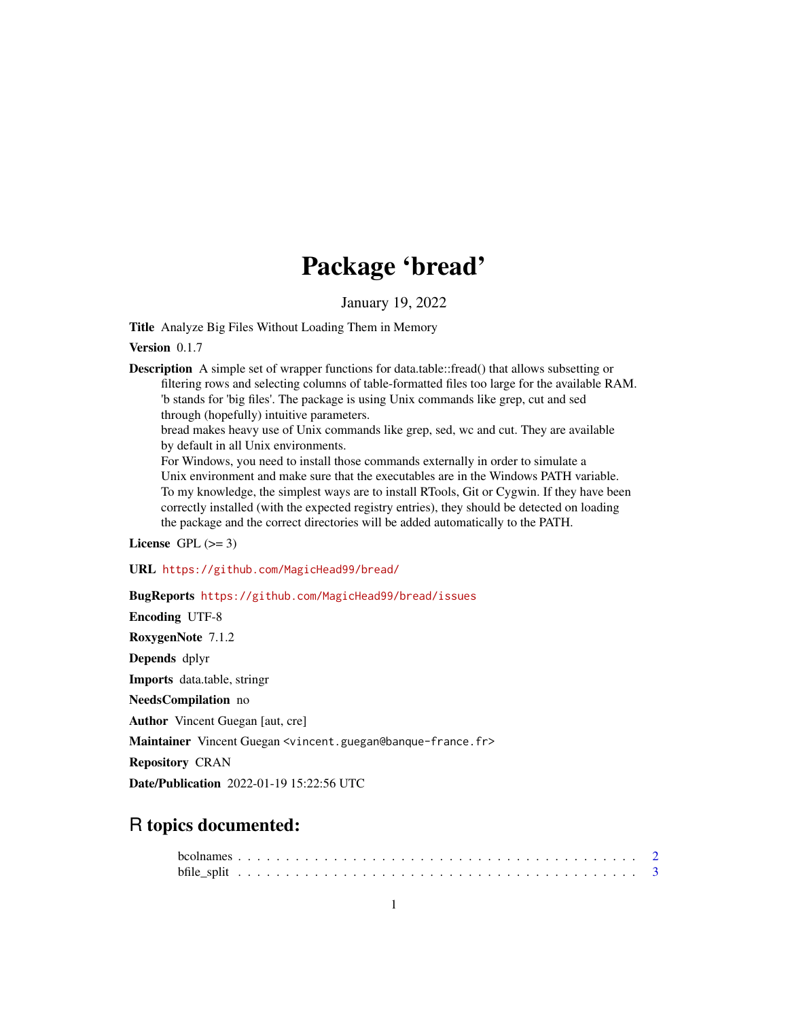## Package 'bread'

January 19, 2022

Title Analyze Big Files Without Loading Them in Memory

Version 0.1.7

**Description** A simple set of wrapper functions for data.table::fread() that allows subsetting or filtering rows and selecting columns of table-formatted files too large for the available RAM. 'b stands for 'big files'. The package is using Unix commands like grep, cut and sed through (hopefully) intuitive parameters.

bread makes heavy use of Unix commands like grep, sed, wc and cut. They are available by default in all Unix environments.

For Windows, you need to install those commands externally in order to simulate a Unix environment and make sure that the executables are in the Windows PATH variable. To my knowledge, the simplest ways are to install RTools, Git or Cygwin. If they have been correctly installed (with the expected registry entries), they should be detected on loading the package and the correct directories will be added automatically to the PATH.

License GPL  $(>= 3)$ 

URL <https://github.com/MagicHead99/bread/>

BugReports <https://github.com/MagicHead99/bread/issues>

Encoding UTF-8 RoxygenNote 7.1.2 Depends dplyr Imports data.table, stringr NeedsCompilation no Author Vincent Guegan [aut, cre] Maintainer Vincent Guegan <vincent.guegan@banque-france.fr> Repository CRAN Date/Publication 2022-01-19 15:22:56 UTC

## R topics documented: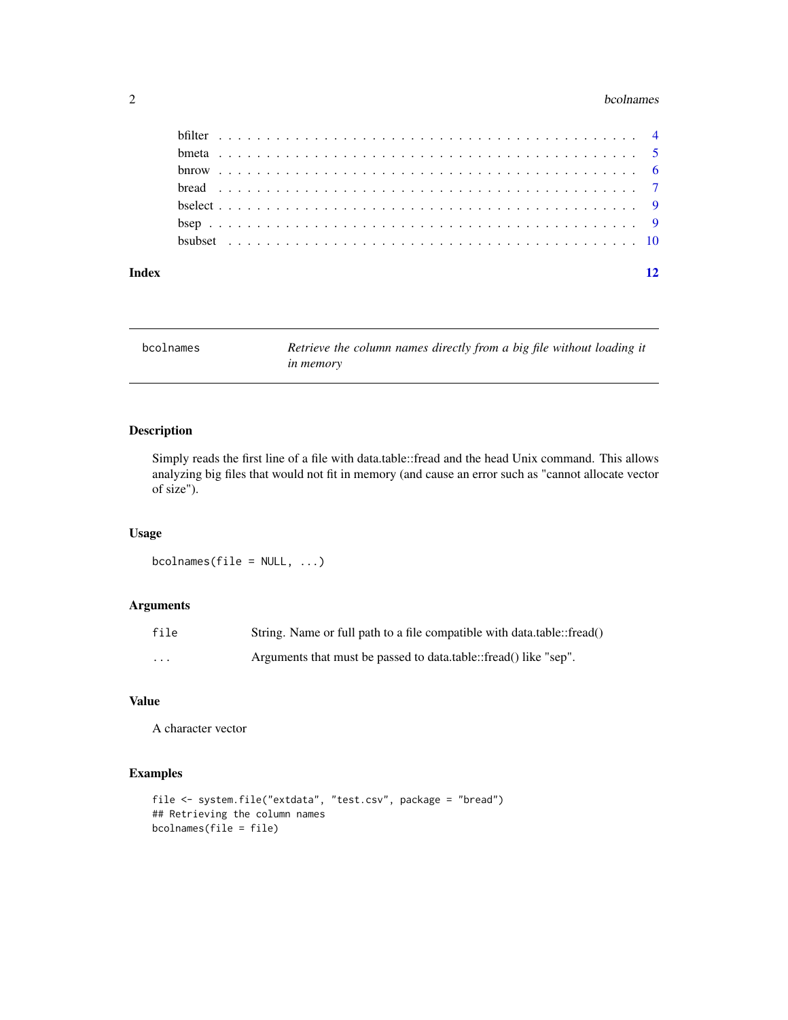#### <span id="page-1-0"></span>2 bcolnames and the contract of the contract of the contract of the contract of the contract of the contract of the contract of the contract of the contract of the contract of the contract of the contract of the contract o

#### **Index** [12](#page-11-0)

bcolnames *Retrieve the column names directly from a big file without loading it in memory*

## Description

Simply reads the first line of a file with data.table::fread and the head Unix command. This allows analyzing big files that would not fit in memory (and cause an error such as "cannot allocate vector of size").

## Usage

 $b$ colnames(file = NULL, ...)

## Arguments

| file    | String. Name or full path to a file compatible with data.table::fread() |
|---------|-------------------------------------------------------------------------|
| $\cdot$ | Arguments that must be passed to data.table::fread() like "sep".        |

## Value

A character vector

```
file <- system.file("extdata", "test.csv", package = "bread")
## Retrieving the column names
bcolnames(file = file)
```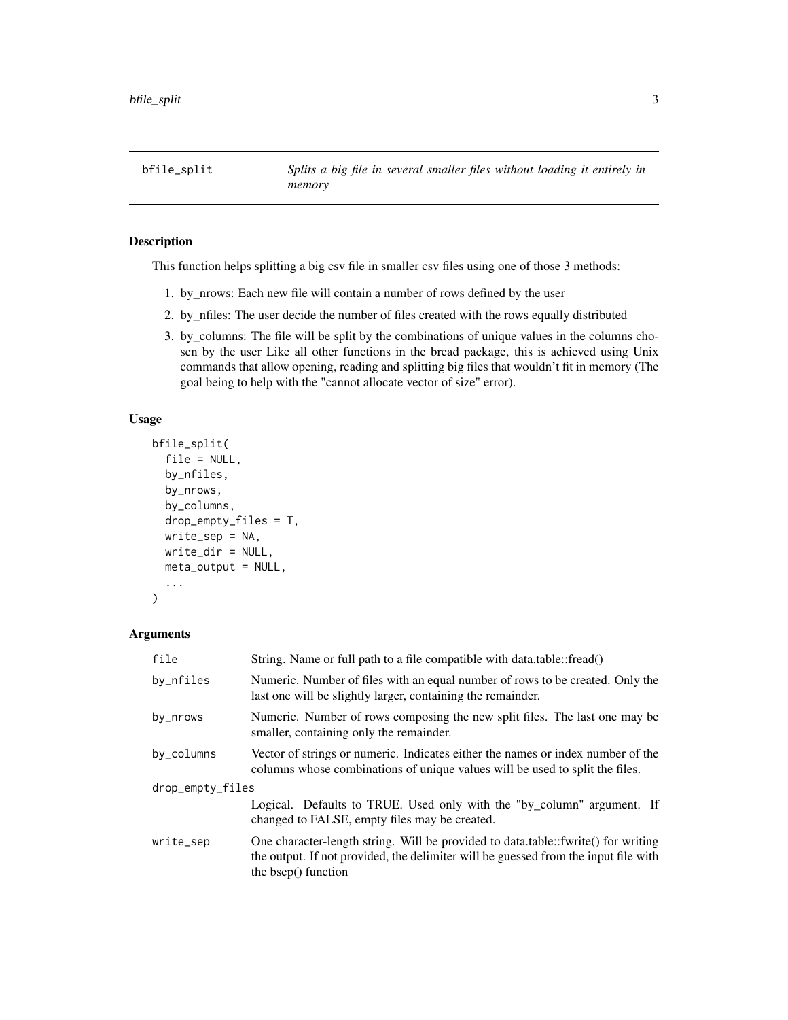<span id="page-2-0"></span>bfile\_split *Splits a big file in several smaller files without loading it entirely in memory*

## Description

This function helps splitting a big csv file in smaller csv files using one of those 3 methods:

- 1. by\_nrows: Each new file will contain a number of rows defined by the user
- 2. by\_nfiles: The user decide the number of files created with the rows equally distributed
- 3. by\_columns: The file will be split by the combinations of unique values in the columns chosen by the user Like all other functions in the bread package, this is achieved using Unix commands that allow opening, reading and splitting big files that wouldn't fit in memory (The goal being to help with the "cannot allocate vector of size" error).

## Usage

```
bfile_split(
  file = NULL,
  by_nfiles,
  by_nrows,
  by_columns,
  drop_empty_files = T,
  write_sep = NA,
  write_dir = NULL,
  meta_output = NULL,
  ...
)
```
## Arguments

| file             | String. Name or full path to a file compatible with data.table::fread()                                                                                                                         |
|------------------|-------------------------------------------------------------------------------------------------------------------------------------------------------------------------------------------------|
| by_nfiles        | Numeric. Number of files with an equal number of rows to be created. Only the<br>last one will be slightly larger, containing the remainder.                                                    |
| by_nrows         | Numeric. Number of rows composing the new split files. The last one may be<br>smaller, containing only the remainder.                                                                           |
| by_columns       | Vector of strings or numeric. Indicates either the names or index number of the<br>columns whose combinations of unique values will be used to split the files.                                 |
| drop_empty_files |                                                                                                                                                                                                 |
|                  | Logical. Defaults to TRUE. Used only with the "by_column" argument. If<br>changed to FALSE, empty files may be created.                                                                         |
| write_sep        | One character-length string. Will be provided to data.table::fwrite() for writing<br>the output. If not provided, the delimiter will be guessed from the input file with<br>the bsep() function |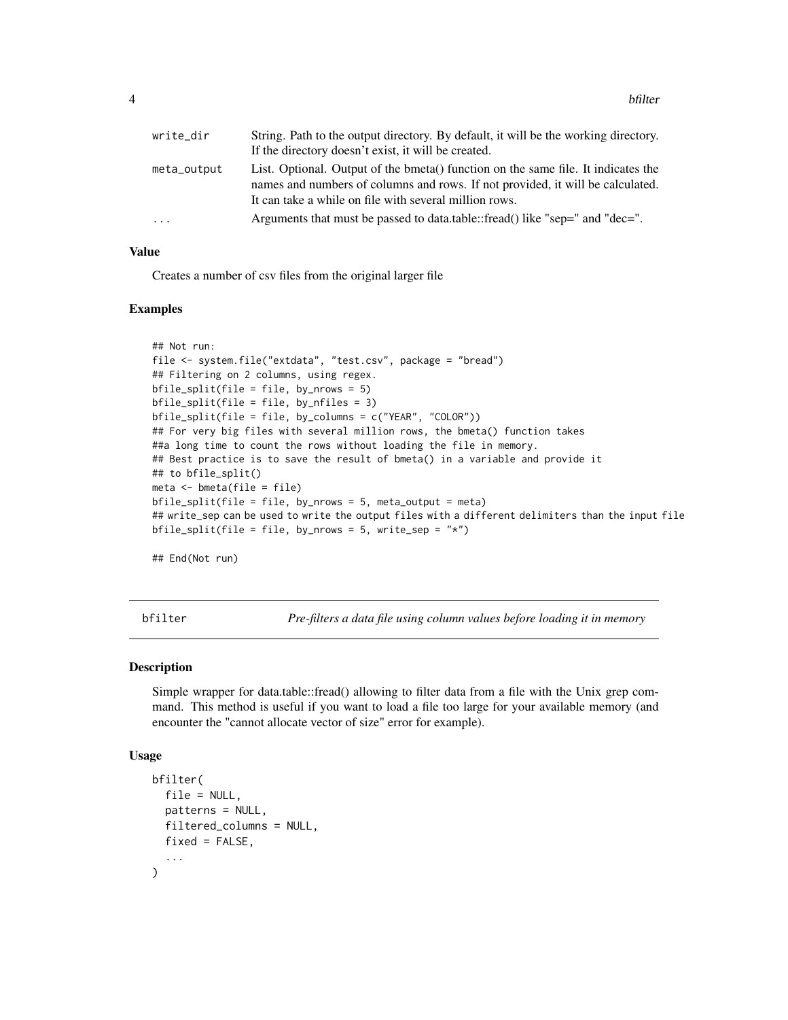<span id="page-3-0"></span>

| write_dir   | String. Path to the output directory. By default, it will be the working directory. |
|-------------|-------------------------------------------------------------------------------------|
|             | If the directory doesn't exist, it will be created.                                 |
| meta_output | List. Optional. Output of the bmeta() function on the same file. It indicates the   |
|             | names and numbers of columns and rows. If not provided, it will be calculated.      |
|             | It can take a while on file with several million rows.                              |
| .           | Arguments that must be passed to data.table::fread() like "sep=" and "dec=".        |
|             |                                                                                     |

## Value

Creates a number of csv files from the original larger file

#### Examples

```
## Not run:
file <- system.file("extdata", "test.csv", package = "bread")
## Filtering on 2 columns, using regex.
bfile_split(file = file, by_nrows = 5)
bfile_split(file = file, by_nfiles = 3)
bfile_split(file = file, by_columns = c("YEAR", "COLOR"))
## For very big files with several million rows, the bmeta() function takes
##a long time to count the rows without loading the file in memory.
## Best practice is to save the result of bmeta() in a variable and provide it
## to bfile_split()
meta <- bmeta(file = file)
bfile_split(file = file, by_nrows = 5, meta_output = meta)
## write_sep can be used to write the output files with a different delimiters than the input file
bfile_split(file = file, by_nrows = 5, write_sep = "*")
```
## End(Not run)

bfilter *Pre-filters a data file using column values before loading it in memory*

## **Description**

Simple wrapper for data.table::fread() allowing to filter data from a file with the Unix grep command. This method is useful if you want to load a file too large for your available memory (and encounter the "cannot allocate vector of size" error for example).

#### Usage

```
bfilter(
  file = NULL,
  patterns = NULL,
  filtered_columns = NULL,
  fixed = FALSE,...
)
```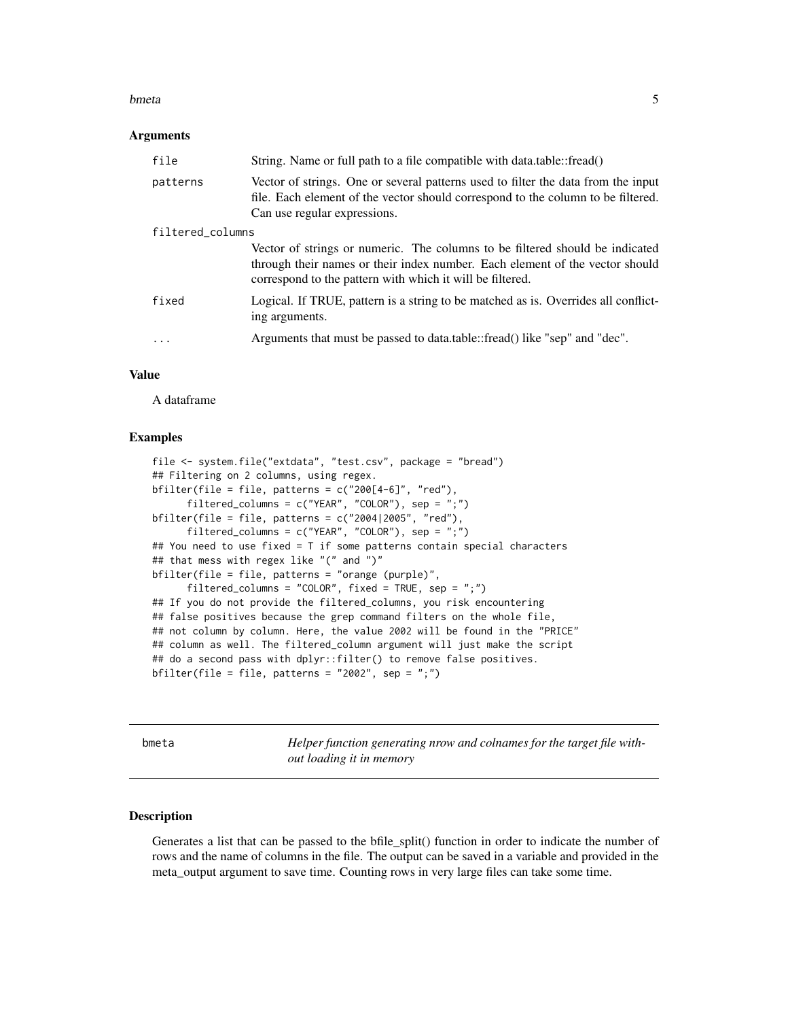#### <span id="page-4-0"></span>bmeta 5

#### Arguments

| file             | String. Name or full path to a file compatible with data.table::fread()                                                                                                                                                   |
|------------------|---------------------------------------------------------------------------------------------------------------------------------------------------------------------------------------------------------------------------|
| patterns         | Vector of strings. One or several patterns used to filter the data from the input<br>file. Each element of the vector should correspond to the column to be filtered.<br>Can use regular expressions.                     |
| filtered_columns |                                                                                                                                                                                                                           |
|                  | Vector of strings or numeric. The columns to be filtered should be indicated<br>through their names or their index number. Each element of the vector should<br>correspond to the pattern with which it will be filtered. |
| fixed            | Logical. If TRUE, pattern is a string to be matched as is. Overrides all conflict-<br>ing arguments.                                                                                                                      |
| $\cdot$          | Arguments that must be passed to data.table::fread() like "sep" and "dec".                                                                                                                                                |

## Value

A dataframe

## Examples

```
file <- system.file("extdata", "test.csv", package = "bread")
## Filtering on 2 columns, using regex.
bfilter(file = file, patterns = c("200[4-6]", "red"),filtered_columns = c("YEAR", "COLOR"), sep = ";")
bfilter(file = file, patterns = c("2004|2005", "red"),filtered_columns = c("YEAR", "COLOR"), sep = ";")
## You need to use fixed = T if some patterns contain special characters
## that mess with regex like "(" and ")"
bfilter(file = file, patterns = "orange (purple)",
     filtered_columns = "COLOR", fixed = TRUE, sep = ";")
## If you do not provide the filtered_columns, you risk encountering
## false positives because the grep command filters on the whole file,
## not column by column. Here, the value 2002 will be found in the "PRICE"
## column as well. The filtered_column argument will just make the script
## do a second pass with dplyr::filter() to remove false positives.
bfilter(file = file, patterns = "2002", sep = ";")
```
bmeta *Helper function generating nrow and colnames for the target file without loading it in memory*

#### **Description**

Generates a list that can be passed to the bfile\_split() function in order to indicate the number of rows and the name of columns in the file. The output can be saved in a variable and provided in the meta\_output argument to save time. Counting rows in very large files can take some time.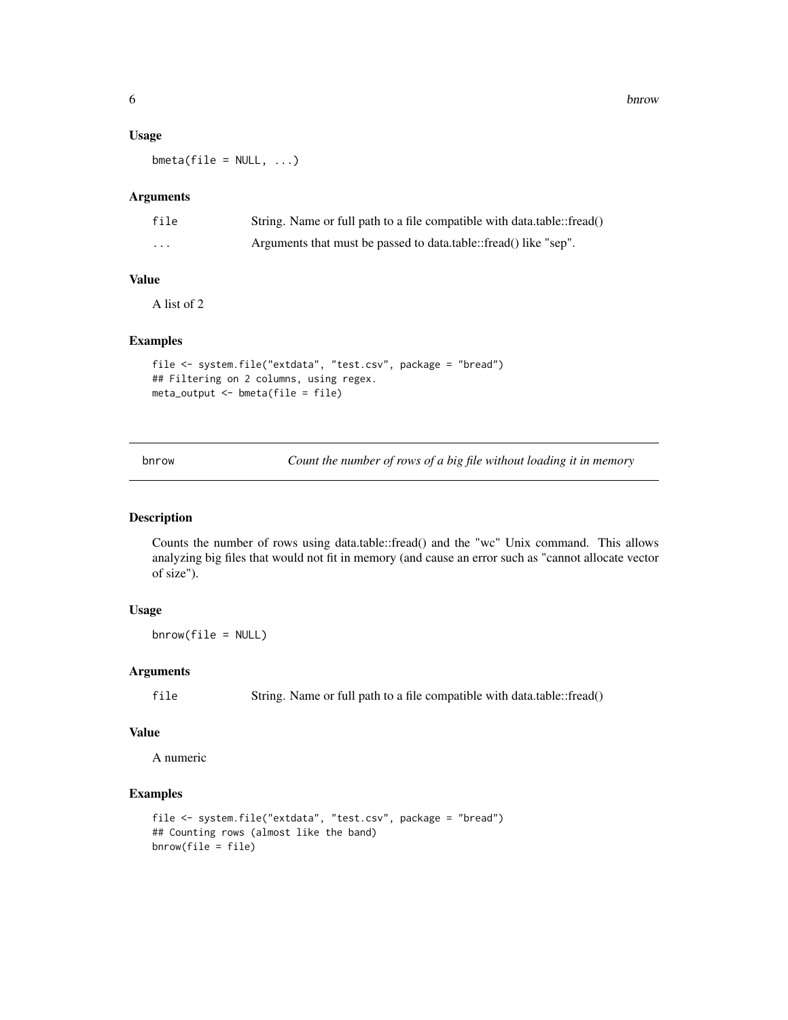6 bnrow bnrow bnrow bnrow bnrow bnrow bnrow bnrow bnrow bnrow bnrow bnrow bnrow bnrow bnrow bnrow bnrow bnrow bnrow bnrow bnrow bnrow bnrow bnrow bnrow bnrow bnrow bnrow bnrow bnrow bnrow bnrow bnrow bnrow bnrow bnrow bnro

#### Usage

 $b$ meta(file = NULL,  $\ldots$ )

## Arguments

| file | String. Name or full path to a file compatible with data.table::fread() |
|------|-------------------------------------------------------------------------|
| .    | Arguments that must be passed to data.table::fread() like "sep".        |

## Value

A list of 2

## Examples

```
file <- system.file("extdata", "test.csv", package = "bread")
## Filtering on 2 columns, using regex.
meta_output <- bmeta(file = file)
```
bnrow *Count the number of rows of a big file without loading it in memory*

## Description

Counts the number of rows using data.table::fread() and the "wc" Unix command. This allows analyzing big files that would not fit in memory (and cause an error such as "cannot allocate vector of size").

## Usage

bnrow(file = NULL)

## Arguments

file String. Name or full path to a file compatible with data.table::fread()

## Value

A numeric

```
file <- system.file("extdata", "test.csv", package = "bread")
## Counting rows (almost like the band)
bnrow(file = file)
```
<span id="page-5-0"></span>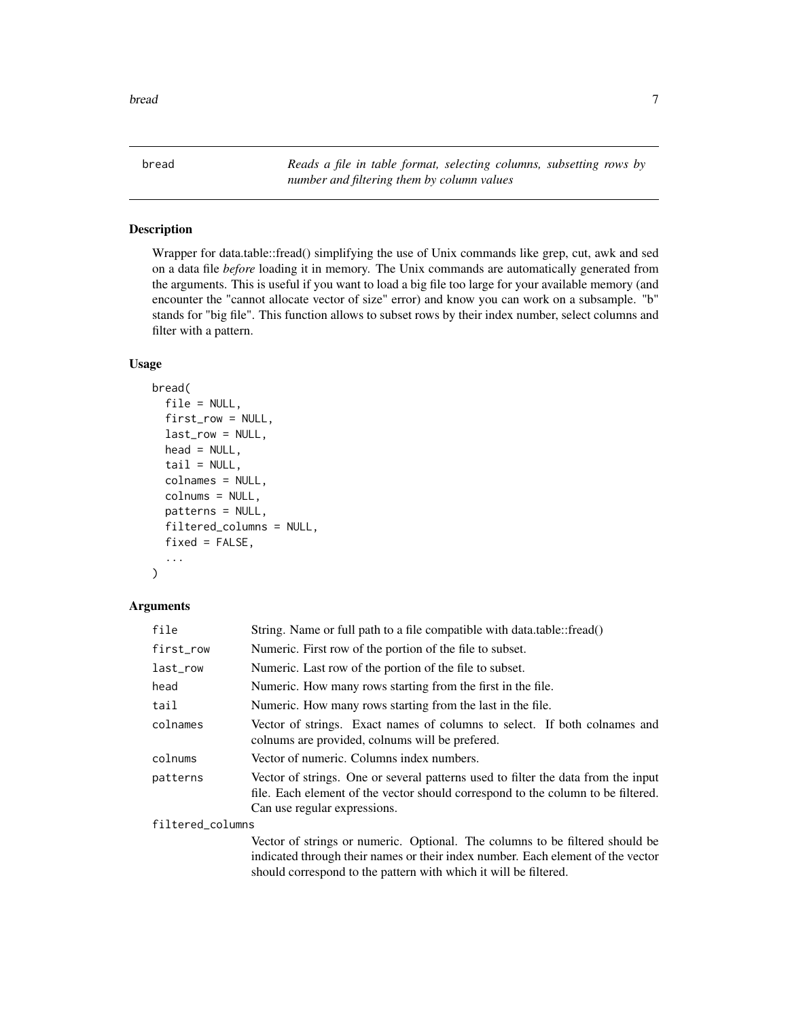<span id="page-6-0"></span>bread *Reads a file in table format, selecting columns, subsetting rows by number and filtering them by column values*

## Description

Wrapper for data.table::fread() simplifying the use of Unix commands like grep, cut, awk and sed on a data file *before* loading it in memory. The Unix commands are automatically generated from the arguments. This is useful if you want to load a big file too large for your available memory (and encounter the "cannot allocate vector of size" error) and know you can work on a subsample. "b" stands for "big file". This function allows to subset rows by their index number, select columns and filter with a pattern.

## Usage

```
bread(
  file = NULL,
  first_row = NULL,
  last_row = NULL,
  head = NULL,tail = NULL,colnames = NULL,
  colnums = NULL,
  patterns = NULL,
  filtered_columns = NULL,
  fixed = FALSE,...
)
```
## Arguments

| file             | String. Name or full path to a file compatible with data.table::fread()                                                                                                                                                             |
|------------------|-------------------------------------------------------------------------------------------------------------------------------------------------------------------------------------------------------------------------------------|
| first_row        | Numeric. First row of the portion of the file to subset.                                                                                                                                                                            |
| last_row         | Numeric. Last row of the portion of the file to subset.                                                                                                                                                                             |
| head             | Numeric. How many rows starting from the first in the file.                                                                                                                                                                         |
| tail             | Numeric. How many rows starting from the last in the file.                                                                                                                                                                          |
| colnames         | Vector of strings. Exact names of columns to select. If both colnames and<br>colnums are provided, colnums will be prefered.                                                                                                        |
| colnums          | Vector of numeric. Columns index numbers.                                                                                                                                                                                           |
| patterns         | Vector of strings. One or several patterns used to filter the data from the input<br>file. Each element of the vector should correspond to the column to be filtered.<br>Can use regular expressions.                               |
| filtered_columns |                                                                                                                                                                                                                                     |
|                  | Vector of strings or numeric. Optional. The columns to be filtered should be<br>indicated through their names or their index number. Each element of the vector<br>should correspond to the pattern with which it will be filtered. |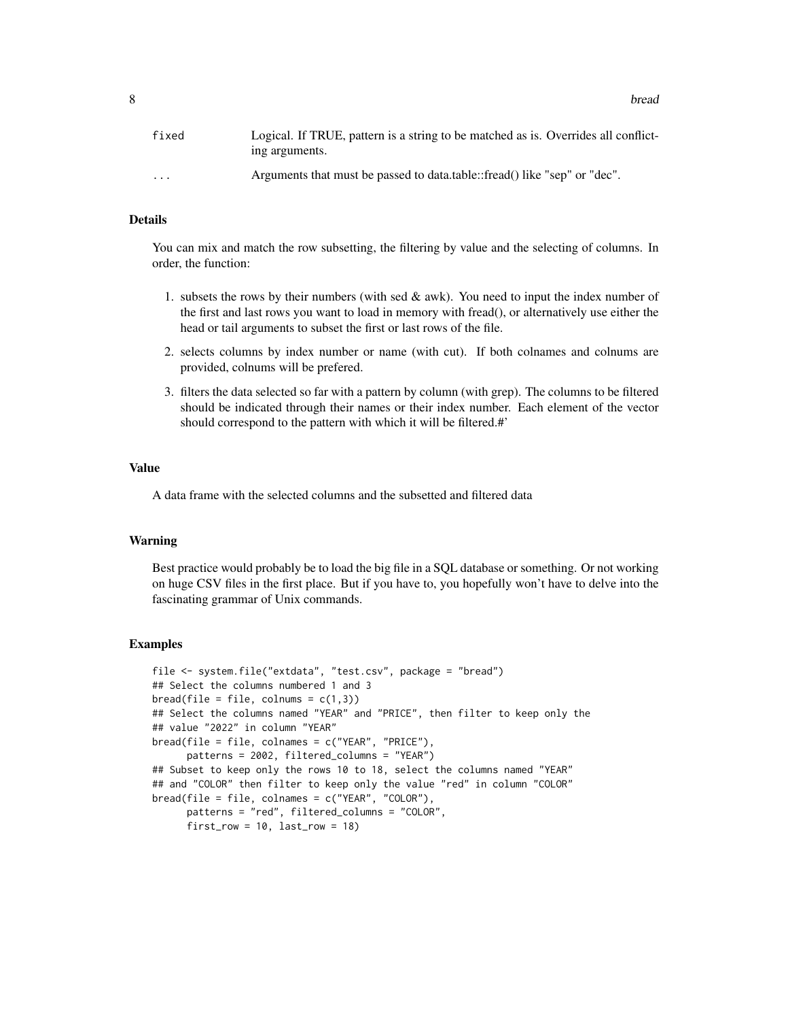8 bread of the state of the state of the state of the state of the state of the state of the state of the state of the state of the state of the state of the state of the state of the state of the state of the state of the

| fixed                | Logical. If TRUE, pattern is a string to be matched as is. Overrides all conflict-<br>ing arguments. |
|----------------------|------------------------------------------------------------------------------------------------------|
| $\ddot{\phantom{0}}$ | Arguments that must be passed to data.table::fread() like "sep" or "dec".                            |

## Details

You can mix and match the row subsetting, the filtering by value and the selecting of columns. In order, the function:

- 1. subsets the rows by their numbers (with sed  $\&$  awk). You need to input the index number of the first and last rows you want to load in memory with fread(), or alternatively use either the head or tail arguments to subset the first or last rows of the file.
- 2. selects columns by index number or name (with cut). If both colnames and colnums are provided, colnums will be prefered.
- 3. filters the data selected so far with a pattern by column (with grep). The columns to be filtered should be indicated through their names or their index number. Each element of the vector should correspond to the pattern with which it will be filtered.#'

#### Value

A data frame with the selected columns and the subsetted and filtered data

## Warning

Best practice would probably be to load the big file in a SQL database or something. Or not working on huge CSV files in the first place. But if you have to, you hopefully won't have to delve into the fascinating grammar of Unix commands.

```
file <- system.file("extdata", "test.csv", package = "bread")
## Select the columns numbered 1 and 3
bread(file = file, columns = c(1,3))## Select the columns named "YEAR" and "PRICE", then filter to keep only the
## value "2022" in column "YEAR"
bread(file = file, colnames = c("YEAR", "PRICE"),
     patterns = 2002, filtered_columns = "YEAR")
## Subset to keep only the rows 10 to 18, select the columns named "YEAR"
## and "COLOR" then filter to keep only the value "red" in column "COLOR"
bread(file = file, colnames = c("YEAR", "COLOR"),
     patterns = "red", filtered_columns = "COLOR",
      first_{row} = 10, last_{row} = 18
```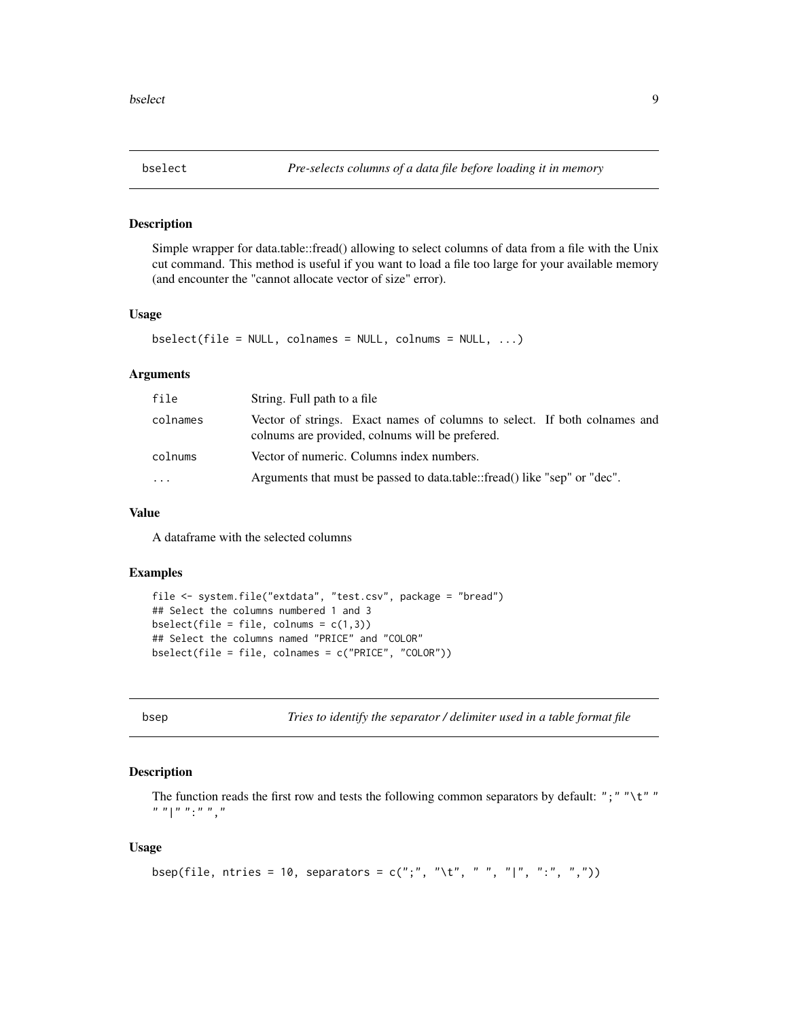<span id="page-8-0"></span>

## Description

Simple wrapper for data.table::fread() allowing to select columns of data from a file with the Unix cut command. This method is useful if you want to load a file too large for your available memory (and encounter the "cannot allocate vector of size" error).

## Usage

```
bselect(file = NULL, colnames = NULL, colnums = NULL, ...)
```
## Arguments

| file     | String. Full path to a file                                                                                                  |
|----------|------------------------------------------------------------------------------------------------------------------------------|
| colnames | Vector of strings. Exact names of columns to select. If both colnames and<br>colnums are provided, colnums will be prefered. |
| colnums  | Vector of numeric. Columns index numbers.                                                                                    |
| .        | Arguments that must be passed to data.table::fread() like "sep" or "dec".                                                    |

#### Value

A dataframe with the selected columns

## Examples

```
file <- system.file("extdata", "test.csv", package = "bread")
## Select the columns numbered 1 and 3
bselect(file = file, colnums = c(1,3))
## Select the columns named "PRICE" and "COLOR"
bselect(file = file, colnames = c("PRICE", "COLOR"))
```
bsep *Tries to identify the separator / delimiter used in a table format file*

## Description

The function reads the first row and tests the following common separators by default: ";" " $\forall t$ " "  $\begin{bmatrix} n & n \\ n & n \end{bmatrix}$  "  $\begin{bmatrix} n & n & n \\ n & n & n \end{bmatrix}$ "

## Usage

```
bsep(file, ntries = 10, separators = c(";", " \tt \tt 't", " ", "], "]', " :", " , ", ", "))
```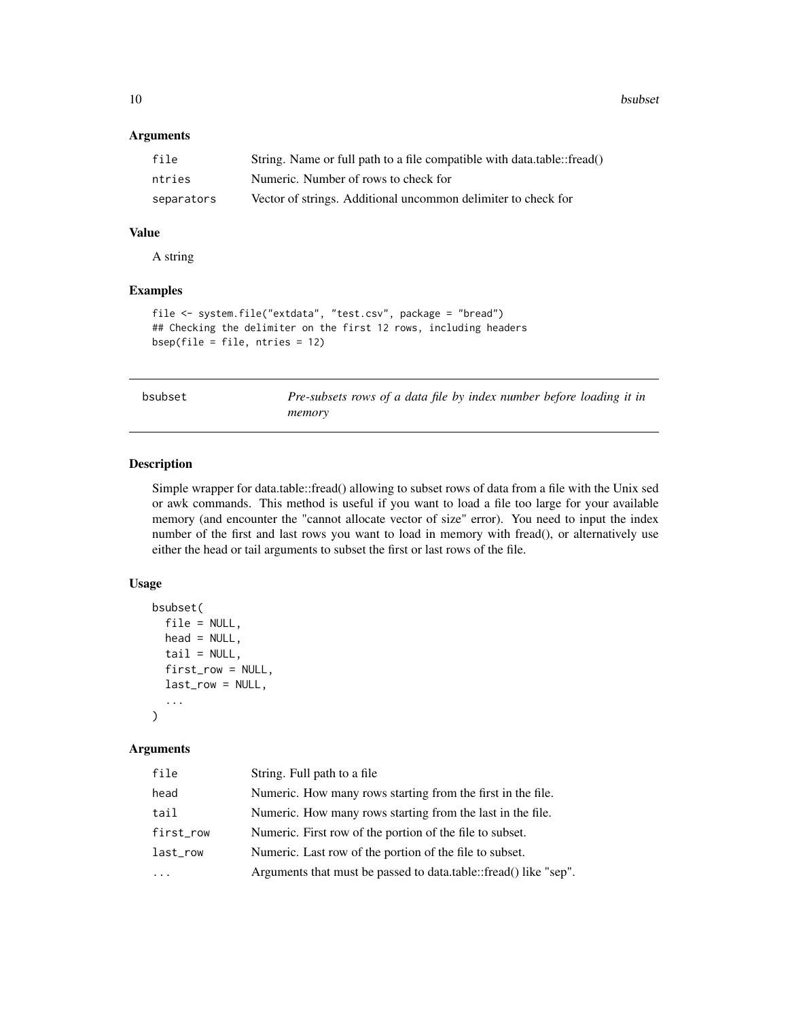<span id="page-9-0"></span>10 bsubset

## Arguments

| file       | String. Name or full path to a file compatible with data.table::fread() |
|------------|-------------------------------------------------------------------------|
| ntries     | Numeric. Number of rows to check for                                    |
| separators | Vector of strings. Additional uncommon delimiter to check for           |

## Value

A string

## Examples

```
file <- system.file("extdata", "test.csv", package = "bread")
## Checking the delimiter on the first 12 rows, including headers
bsep(file = file, ntries = 12)
```

| bsubset |  |
|---------|--|
|         |  |

Pre-subsets rows of a data file by index number before loading it in *memory*

## Description

Simple wrapper for data.table::fread() allowing to subset rows of data from a file with the Unix sed or awk commands. This method is useful if you want to load a file too large for your available memory (and encounter the "cannot allocate vector of size" error). You need to input the index number of the first and last rows you want to load in memory with fread(), or alternatively use either the head or tail arguments to subset the first or last rows of the file.

## Usage

```
bsubset(
  file = NULL,
  head = NULL,tail = NULL,first_row = NULL,
  last_row = NULL,
  ...
)
```
## Arguments

| file      | String. Full path to a file                                      |
|-----------|------------------------------------------------------------------|
| head      | Numeric. How many rows starting from the first in the file.      |
| tail      | Numeric. How many rows starting from the last in the file.       |
| first_row | Numeric. First row of the portion of the file to subset.         |
| last_row  | Numeric. Last row of the portion of the file to subset.          |
|           | Arguments that must be passed to data.table::fread() like "sep". |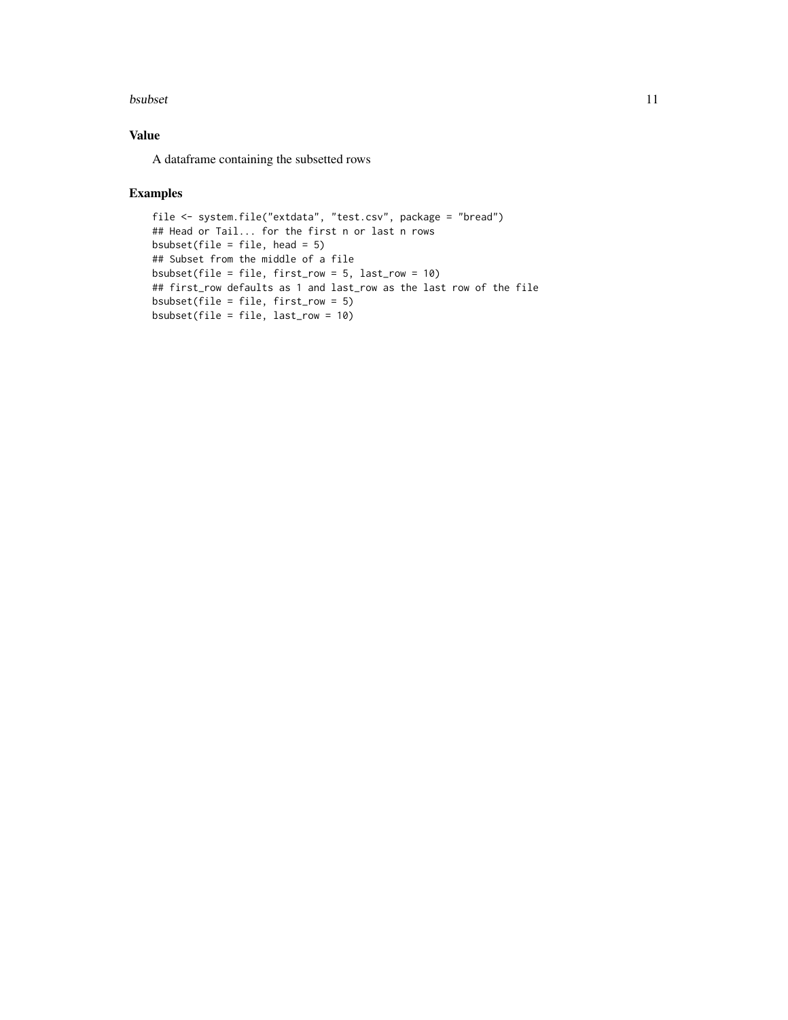#### bsubset 11

## Value

A dataframe containing the subsetted rows

```
file <- system.file("extdata", "test.csv", package = "bread")
## Head or Tail... for the first n or last n rows
bsubset(file = file, head = 5)
## Subset from the middle of a file
bsubset(file = file, first_row = 5, last_row = 10)
## first_row defaults as 1 and last_row as the last row of the file
bsubset(file = file, first_row = 5)
bsubset(file = file, last_row = 10)
```